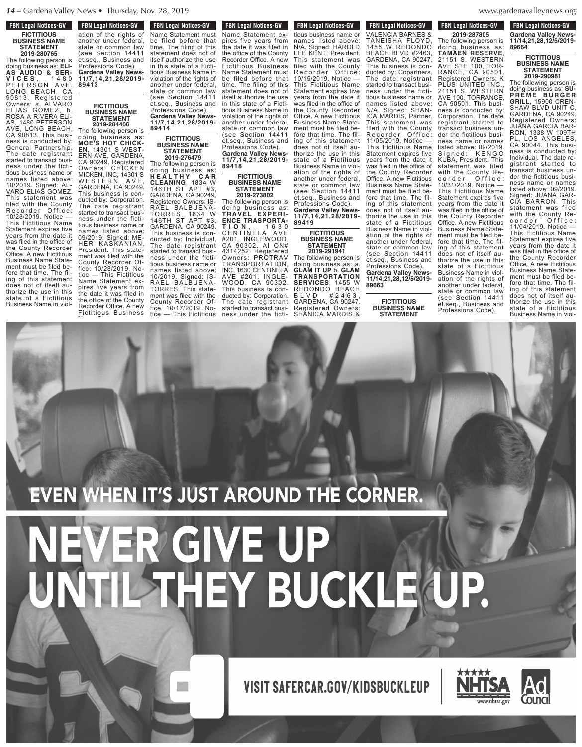## **FBN Legal Notices-GV FICTITIOUS BUSINESS NAME**

**STATEMENT 2019-280765** The following person is doing business as: **ELI-AS AUDIO & SER-VICES, 1480**<br>**PETERSON AVE,** PETERSON AVE, LONG BEACH, CA 90813. Registered Owners: a. ALVARO ELIAS GOMEZ, b. ROSA A RIVERA ELI-AS, 1480 PETERSON AVE, LONG BEACH, CA 90813. This business is conducted by: General Partnership. The date registrant started to transact business under the fictitious business name or names listed above: 10/2019. Signed: AL-VARO ELIAS GOMEZ. This statement was filed with the County Recorder Office: Recorder Office<br>10/23/2019. Notice -This Fictitious Name Statement expires five years from the date it was filed in the office of the County Recorder Office. A new Fictitious Business Name Statement must be filed before that time. The filing of this statement does not of itself au-

thorize the use in this state of a Fictitious Business Name in viol-

state or common law (see Section 1441114) et.seq., Business and Professions Code). **Gardena Valley News-11/7,14,21,28/2019-**

**89413**

**FBN Legal Notices-GV Business In Conservation In the Internal Incredibility of the internal Internal Internal Incredibility of the i** ation of the rights of another under federal, state or common law (see Section 14411 et.seq., Business and Professions Code). **Gardena Valley News-11/7,14,21,28/2019- 89413**

### **FICTITIOUS BUSINESS NAME STATEMENT 2019-284466**

**89414** RAEL BALBUENA-TORRES. This statement was filed with the County Recorder Office: 10/17/2019. No-The following person is doing business as: **MOE'S HOT CHICK-EN**, 14301 S WEST-ERN AVE, GARDENA, CA 90249. Registered Owners: CHICKEN MICKEN, INC, 14301 S WESTERN AVE, WESTERN AVE,<br>GARDENA, CA 90249. This business is conducted by: Corporation. The date registrant started to transact business under the fictitious business name or names listed above: 09/2019. Signed: ME-KASKANIAN, President. This statement was filed with the County Recorder Of-<br>fice: 10/28/2019. Nofice: 10/28/2019. tice — This Fictitious Name Statement expires five years from the date it was filed in the office of the County Recorder Office. A new Fictitious Business

Name Statement must

statement does not of itself authorize the use in this state of a Fictitious Business Name in violation of the rights of another under federal, state or common law (see Section 14411 et.seq., Business and Business and Business and Business and Business and Business and Business and Business and Professions Code). **Gardena Valley News-11/7,14,21,28/2019-**

Figure Legal Multipless Care Name Statement must be filed before that time. The filing of this statement does not of itself authorize the use in this state of a Fictitious Business Name in violation of the rights of another under federal, state or common law (see Section 14411 et.seq., Business and Professions Code). **Gardena Valley News-11/7,14,21,28/2019-**

**FBN Legal Notices-GV** 

**FICTITIOUS BUSINESS NAME STATEMENT 2019-276479**

The following person is doing business as: **H E A L T H Y C A R CLEANING**, 1834 W 146TH ST APT #3, GARDENA, CA 90249. Registered Owners: IS-RAEL BALBUENA-TORRES, 1834 W 146TH ST APT #3, GARDENA, CA 90249. This business is conducted by: Individual. The date registrant started to transact business under the fictitious business name or names listed above: 10/2019. Signed: IS-

Fictious Business Business Name Statement must be filed by the filed before the filed before the second before the second before the second before the second time. The filing of the filing of the filing of the filing of the filing of the filing of the filing of the state of the state of the state of the state of the state of the state of the state of the state of the state of t statement does not of itself authorize the use in this state of a Ficti-

another under federal, state or common law (see Section 14411 et.seq., Business and Professions Code).

**FBN Legal Notices-GV This Figure Motive 2018** Name Statement expires five years from the date it was filed in the office of the County Recorder Office. A new Fictitious Business Name Statement must be filed before that time. The filing of this statement does not of itself authorize the use in this state of a Fictitious Business Name in violation of the rights of another under federal, state or common law (see Section 14411 et.seq., Business and Professions Code). **Gardena Valley News-11/7,14,21,28/2019- 89418**

### **FICTITIOUS BUSINESS NAME STATEMENT**

**2019-273802** The following person is doing business as: **TRAVEL EXPERI-ENCE TRASPORTA-T I O N** , 1 6 3 0 CENTINELA AVE #201, INGLEWOOD, CA 90302. AI ON# 4314252. Registered Owners: PROTRAV TRANSPORTATION, INC, 1630 CENTINELA AVE #201, INGLE-WOOD, CA 90302. This business is conducted by: Corporation. The date registrant started to transact business under the fictitious business name or tice — This Fictitious Name Statement ex-

names listed above: N/A. Signed: HAROLD LEE KENT, President. This statement was filed with the County R e c o r d e r O f f i c e : 10/15/2019. Notice **Address and Contemporary Address and Contemporary Address and Contemporary Address and Contemporary Address and Interpretational Address and Interpretational Address and Interpretational Address and Int** This Fiction Name of Street, and Statement expires five years from the date it was filed in the office of  $\mathcal{N}$ the County Recorder Office. A new Fictitious Business Name Statement must be filed before that time. The fil-

**FBN Legal Notices-GV** rbiv Leyal Nutles-dv tious business name or names listed above: N/A. Signed: HAROLD LEE KENT, President. This statement was filed with the County Recorder Office: 10/15/2019. Notice — This Fictitious Name Statement expires five years from the date it was filed in the office of the County Recorder Office. A new Fictitious Business Name Statement must be filed before that time. The filing of this statement does not of itself authorize the use in this state of a Fictitious Business Name in violation of the rights of another under federal state or common law (see Section 14411 et.seq., Business and Professions Code). **Gardena Valley News-**

**11/7,14,21,28/2019- 89419 FICTITIOUS BUSINESS NAME**

**STATEMENT 2019-291941** The following person is doing business as: a. **GLAM IT UP** b. **GLAM TRANSPORTATION**

**SERVICES**, 1455 W REDONDO BEACH B L V D # 2 4 6 3 , GARDENA, CA 90247. Registered Owners: SHANICA MARDIS &

VALENCIA BARNES & TANEISHA FLOYD, TANEISHA FLOYD, TANEISHA FLOYD, TANEISHA FLOYD, TANEISHA FLOYD, TANEISHA FLOYD, TANEISHA FLOYD, TANEISHA FLOYD, TANEISHA FLOYD, TANEISHA FLOYD, TANEISHA FLOYD, TANEISHA FLOYD, TANEISHA FLOYD, TANEISHA FLOYD 1455 W REDONDO BEACH BLVD #2463, GARDENA, CA 90247. This business is conducted by: Copartners. The date registrant started to transact business under the fictitious business name of the contract of the names listed above: N/A. Signed: SHAN-ICA MARDIS, Partner. This statement was filed with the County of the County R e commune de l'Articon 11/05/2019. Notice **Address and Contact and Contact and Contact and Contact and** This Fiction Name and Name and Name and Name and Name and Name and Name and Name and Name and Name and Name and Statement expires five years from the date it was filed in the office of  $\mathbb{R}$ the County Recorders and **Chinese Fiction Control** Business Name State-

state of a Fiction of a Fiction of a

**FON LEGAL NUTTLES-CIV** VALENCIA BARNES & TANEISHA FLOYD, 1455 W REDONDO BEACH BLVD #2463, GARDENA, CA 90247. This business is conducted by: Copartners. The date registrant started to transact business under the fictitious business name or names listed above: N/A. Signed: SHAN-ICA MARDIS, Partner. This statement was filed with the County Recorder Office: Recorder Office<br>11/05/2019. Notice -This Fictitious Name Statement expires five years from the date it was filed in the office of the County Recorder Office. A new Fictitious Business Name Statement must be filed before that time. The filing of this statement does not of itself authorize the use in this state of a Fictitious Business Name in violation of the rights of another under federal, state or common law (see Section 14411 et.seq., Business and Professions Code). **Gardena Valley News-11/14,21,28,12/5/2019- 89663**

**FBN Legal Notices-GV** 

**FICTITIOUS BUSINESS NAME STATEMENT 2019-287805**

The following person is doing business as: **TAMAEN RESERVE**, 21151 S. WESTERN AVEC STEEL AND THE 100, TOR-RANCE, CA 90501. Registered Owners: K PLUS UNITED INC., 21151 S. WESTERN STATE STATE STATE STATE STATE STATE STATE STATE STATE STATE STATE STATE STATE STATE STATE STA AVE 100, TORRANCE, ness is conducted by: Corporation. The date registrant started to transaction business  $H$  . der the fictious business name or names listed above: 09/2019. S i g n e d i g n e d i g n e d i g n e d i g n e d i g n e d i g n e d i g n e d i g n e d i g n e d i g n e KUBA, President. This

Office. A new Figure 1990 and the Water

#### **FBN Legal Notices-GV FBN Legal Notices-GV BUSINESS NAME Legal Nutries-**

**2019-287805** The following person is doing business as: **TAMAEN RESERVE**, 21151 S. WESTERN AVE STE 100, TOR-RANCE, CA 90501. Registered Owners: K PLUS UNITED INC., 21151 S. WESTERN AVE 100, TORRANCE, CA 90501. This business is conducted by: Corporation. The date registrant started to transact business under the fictitious business name or names listed above: 09/2019. Signed: KENGO KUBA, President. This statement was filed with the County Recorder Office: 10/31/2019. Notice — This Fictitious Name Statement expires five years from the date it was filed in the office of the County Recorder Office. A new Fictitious Business Name Statement must be filed before that time. The filing of this statement does not of itself authorize the use in this state of a Fictitious Business Name in violation of the rights of another under federal, state or common law (see Section 14411 et.seq., Business and Professions Code). **11/14,21,28,12/5/2019-**

**Profession**<br> **Profession Gardena Valley News-11/14,21,28,12/5/2019- 89664**

# **FICTITIOUS BUSINESS NAME STATEMENT**

**2019-290981** The following person is doing business as: **SU-P R E M E B U R G E R GRILL**, 15900 CREN-SHAW BLVD UNIT C, GARDENA, CA 90249. Registered Owners: JUANA GARCIA BAR-RON, 1338 W 109TH PL, LOS ANGELES, CA 90044. This business is conducted by: Individual. The date registrant started to transact business under the fictitious business name or names listed above: 09/2019. Signed: JUANA GAR-CIA BARRON. This statement was filed with the County Recorder Office: 11/04/2019. Notice — This Fictitious Name Statement expires five years from the date it was filed in the office of the County Recorder Office. A new Fictitious Business Name Statement must be filed before that time. The filing of this statement does not of itself authorize the use in this state of a Fictitious Business Name in violation of the rights of the rights of the rights of the rights of the rights of the rights of the rights of the

another under federal, state or common law (see Section 14411 et.seq., Business and Professions Code). **Gardena Valley News-11/14,21,28,12/5/2019-**

**89674**

#### This Fiction and the Second Second Statement expires five years from the date it WMM-RO the County Recorder ment must be filed by the filed before that time. The fil- $\blacksquare$ ing of this statement of this statement of this statement of the statement of the state  $\sim$ does not of itself and thorize the use in this et.seq., Business and **AROUN 11/7,14,21,28/2019-**

**89419**

### Business Name Statethorize the use in this Business Name in violation of the rights of another under federal, state or common law (see Section 14411 et.seq., Business and Professions Code). **Gardena Valley News-11/14,21,28,12/5/2019- 89664** Business Name in violation of the rights of another under federal, state or common law (see Section 14411 et.seq., Business and Professions Code). **Gardena Valley News-89663**

another under federal,

**VISIT SAFERCAR.GOV/KIDSBUCKLEUP** 





denavalleynews.org mm.garacharane<sub>/</sub>news.org